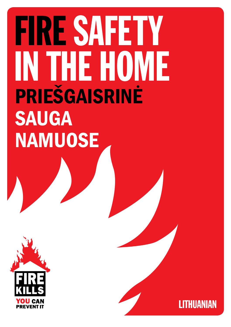## FIRE SAFETY IN THE HOME PRIEŠGAISRINĖ SAUGA **NAMUOSE**



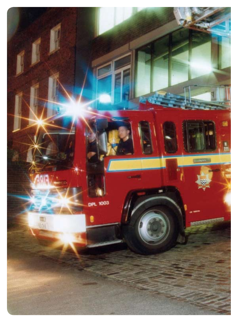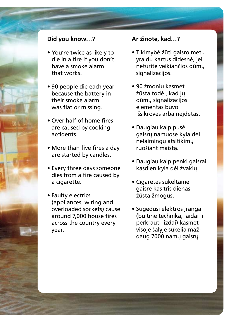#### **Did you know…?**

- You're twice as likely to die in a fire if you don't have a smoke alarm that works.
- 90 people die each year because the battery in their smoke alarm was flat or missing.
- Over half of home fires are caused by cooking accidents.
- More than five fires a day are started by candles.
- Every three days someone dies from a fire caused by a cigarette.
- Faulty electrics (appliances, wiring and overloaded sockets) cause around 7,000 house fires across the country every year.

#### **Ar žinote, kad…?**

- Tikimybė žūti gaisro metu yra du kartus didesnė, jei neturite veikiančios dūmų signalizacijos.
- 90 žmonių kasmet žūsta todėl, kad jų dūmų signalizacijos elementas buvo išsikrovęs arba neįdėtas.
- Daugiau kaip pusė gaisrų namuose kyla dėl nelaimingų atsitikimų ruošiant maistą.
- Daugiau kaip penki gaisrai kasdien kyla dėl žvakių.
- Cigaretės sukeltame gaisre kas tris dienas žūsta žmogus.
- Sugedusi elektros įranga (buitinė technika, laidai ir perkrauti lizdai) kasmet visoje šalyje sukelia maždaug 7000 namų gaisrų.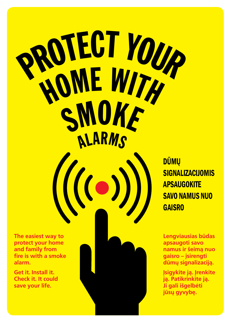## **PROTECT YOUR** HOME WITH SMOKE **ALARMS**

**The easiest way to protect your home and family from fire is with a smoke alarm.** 

**Get it. Install it. Check it. It could save your life.** 

DŪMŲ **SIGNALIZACIJOMIS APSAUGOKITE** SAVO NAMUS NUO **GAISRO** 

**Lengviausias būdas apsaugoti savo namus ir šeimą nuo gaisro – įsirengti dūmų signalizaciją.** 

**Įsigykite ją. Įrenkite ją. Patikrinkite ją. Ji gali išgelbėti jūsų gyvybę.**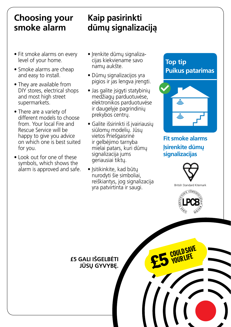## **Choosing your smoke alarm**

- Fit smoke alarms on every level of your home.
- Smoke alarms are cheap and easy to install.
- They are available from DIY stores, electrical shops and most high street supermarkets.
- There are a variety of different models to choose from. Your local Fire and Rescue Service will be happy to give you advice on which one is best suited for you.
- Look out for one of these symbols, which shows the alarm is approved and safe.

## **Kaip pasirinkti dūmų signalizaciją**

- Irenkite dūmų signalizacijas kiekviename savo namų aukšte.
- Dūmų signalizacijos yra pigios ir jas lengva įrengti.
- Jas galite įsigyti statybinių medžiagų parduotuvėse, elektronikos parduotuvėse ir daugelyje pagrindinių prekybos centrų.
- Galite išsirinkti iš įvairiausių siūlomų modelių. Jūsų vietos Priešgaisrinė ir gelbėjimo tarnyba mielai patars, kuri dūmų signalizacija jums geriausiai tiktų.
- Isitikinkite, kad būtų nurodyti šie simboliai, reiškiantys, jog signalizacija yra patvirtinta ir saugi.

#### **Top tip Puikus patarimas**



#### **Fit smoke alarms Įsirenkite dūmų signalizacijas**



British Standard Kitemark



**COULD SAVE YOURLIFE** 

#### **£5 GALI IŠGELBĖTI JŪSŲ GYVYBĘ.**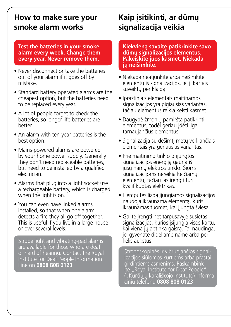### **How to make sure your smoke alarm works**

#### **Test the batteries in your smoke alarm every week. Change them every year. Never remove them.**

- Never disconnect or take the batteries out of your alarm if it goes off by mistake.
- Standard battery operated alarms are the cheapest option, but the batteries need to be replaced every year.
- A lot of people forget to check the batteries, so longer life batteries are better.
- An alarm with ten-year batteries is the best option.
- Mains-powered alarms are powered by your home power supply. Generally they don't need replaceable batteries, but need to be installed by a qualified electrician.
- Alarms that plug into a light socket use a rechargeable battery, which is charged when the light is on.
- You can even have linked alarms installed, so that when one alarm detects a fire they all go off together. This is useful if you live in a large house or over several levels.

Strobe light and vibrating-pad alarms are available for those who are deaf or hard of hearing. Contact the Royal Institute for Deaf People Information Line on **0808 808 0123**

## **Kaip įsitikinti, ar dūmų signalizacija veikia**

**Kiekvieną savaitę patikrinkite savo dūmų signalizacijos elementus. Pakeiskite juos kasmet. Niekada jų neišimkite.**

- Niekada neatjunkite arba neišimkite elementų iš signalizacijos, jei ji kartais suveiktų per klaidą.
- Iprastiniais elementais maitinamos signalizacijos yra pigiausias variantas, tačiau elementus reikia keisti kasmet.
- Daugybė žmonių pamiršta patikrinti elementus, todėl geriau įdėti ilgai tarnaujančius elementus.
- Signalizacija su dešimtį metų veikiančiais elementais yra geriausias variantas.
- Prie maitinimo tinklo prijungtos signalizacijos energiją gauna iš jūsų namų elektros tinklo. Šioms signalizacijoms nereikia keičiamų elementų, tačiau jas įrengti turi kvalifikuotas elektrikas.
- Į lemputės lizdą įjungiamos signalizacijos naudoja įkraunamą elementą, kuris įkraunamas tuomet, kai įjungta šviesa.
- Galite įrengti net tarpusavyje susietas signalizacijas, kurios įsijungia visos kartu, kai viena jų aptinka gaisrą. Tai naudinga, jei gyvenate dideliame name arba per kelis aukštus.

Stroboskopinės ir vibruojančios signalizacijos siūlomos kurtiems arba prastai girdintiems asmenims. Paskambinkite "Royal Institute for Deaf People" ("Kurčiųjų karališkojo instituto) informaciniu telefonu **0808 808 0123**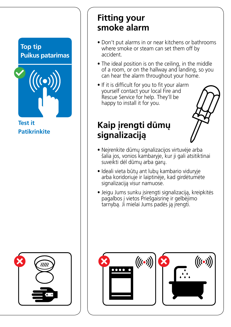#### **Top tip Puikus patarimas**



**Test it Patikrinkite**



## **Fitting your smoke alarm**

- Don't put alarms in or near kitchens or bathrooms where smoke or steam can set them off by accident.
- The ideal position is on the ceiling, in the middle of a room, or on the hallway and landing, so you can hear the alarm throughout your home.
- If it is difficult for you to fit your alarm yourself contact your local Fire and Rescue Service for help. They'll be happy to install it for you.

## **Kaip įrengti dūmų signalizaciją**

- Neirenkite dūmu signalizacijos virtuvėje arba šalia jos, vonios kambaryje, kur ji gali atsitiktinai suveikti dėl dūmų arba garų.
- Ideali vieta būtų ant lubų kambario viduryje arba koridoriuje ir laiptinėje, kad girdėtumėte signalizaciją visur namuose.
- Jeigu Jums sunku įsirengti signalizaciją, kreipkitės pagalbos į vietos Priešgaisrinę ir gelbėjimo tarnybą. Ji mielai Jums padės ją įrengti.

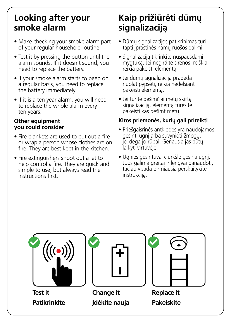## **Looking after your smoke alarm**

- Make checking your smoke alarm part of your regular household outine.
- Test it by pressing the button until the alarm sounds. If it doesn't sound, you need to replace the battery.
- If your smoke alarm starts to beep on a regular basis, you need to replace the battery immediately.
- If it is a ten year alarm, you will need to replace the whole alarm every ten years.

#### **Other equipment you could consider**

- Fire blankets are used to put out a fire or wrap a person whose clothes are on fire. They are best kept in the kitchen.
- Fire extinguishers shoot out a jet to help control a fire. They are quick and simple to use, but always read the instructions first.

## **Kaip prižiūrėti dūmų signalizaciją**

- Dūmų signalizacijos patikrinimas turi tapti įprastinės namų ruošos dalimi.
- Signalizaciją tikrinkite nuspausdami mygtuką. Jei negirdite sirenos, reiškia reikia pakeisti elementą.
- Jei dūmų signalizacija pradeda nuolat pypsėti, reikia nedelsiant pakeisti elementą.
- Jei turite dešimčiai metų skirtą signalizaciją, elementą turėsite pakeisti kas dešimt metų.

#### **Kitos priemonės, kurių gali prireikti**

- Priešgaisrinės antklodės yra naudojamos gesinti ugnį arba suvynioti žmogų, jei dega jo rūbai. Geriausia jas būtų laikyti virtuvėje.
- Ugnies gesintuvai čiurkšle gesina ugnį. Juos galima greitai ir lengvai panaudoti, tačiau visada pirmiausia perskaitykite instrukciją.

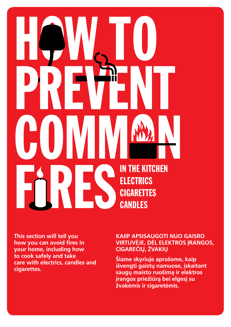# IN THE KITCHEN **ELECTRICS CIGARETTES CANDLES**

**This section will tell you how you can avoid fires in your home, including how to cook safely and take care with electrics, candles and cigarettes.**

**KAIIP APSISAUGOTI NUO GAISRO VIRTUVĖJE, DĖL ELEKTROS ĮRANGOS, CIGAREČIŲ, ŽVAKIŲ**

**Šiame skyriuje aprašome, kaip išvengti gaistų namuose, įskaitant saugų maisto ruošimą ir elektros įrangos priežiūrą bei elgesį su žvakėmis ir cigaretėmis.**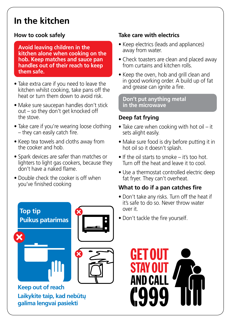## **In the kitchen**

#### **How to cook safely**

**Avoid leaving children in the kitchen alone when cooking on the hob. Keep matches and sauce pan handles out of their reach to keep them safe.**

- Take extra care if you need to leave the kitchen whilst cooking, take pans off the heat or turn them down to avoid risk.
- Make sure saucepan handles don't stick out – so they don't get knocked off the stove.
- Take care if you're wearing loose clothing – they can easily catch fire.
- Keep tea towels and cloths away from the cooker and hob.
- Spark devices are safer than matches or lighters to light gas cookers, because they don't have a naked flame.
- Double check the cooker is off when you've finished cooking



**Keep out of reach Laikykite taip, kad nebūtų galima lengvai pasiekti**

#### **Take care with electrics**

- Keep electrics (leads and appliances) away from water.
- Check toasters are clean and placed away from curtains and kitchen rolls.
- Keep the oven, hob and grill clean and in good working order. A build up of fat and grease can ignite a fire.

**Don't put anything metal in the microwave**

#### **Deep fat frying**

- Take care when cooking with hot oil it sets alight easily.
- Make sure food is dry before putting it in hot oil so it doesn't splash.
- If the oil starts to smoke it's too hot. Turn off the heat and leave it to cool.
- Use a thermostat controlled electric deep fat fryer. They can't overheat.

#### **What to do if a pan catches fire**

- Don't take any risks. Turn off the heat if it's safe to do so. Never throw water over it.
- Don't tackle the fire yourself.

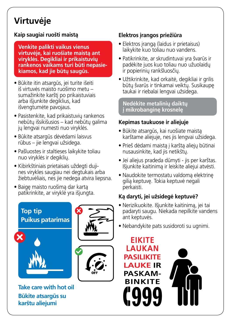## **Virtuvėje**

#### **Kaip saugiai ruošti maistą**

**Venkite palikti vaikus vienus virtuvėje, kai ruošiate maistą ant viryklės. Degikliai ir prikaistuvių rankenos vaikams turi būti nepasiekiamos, kad jie būtų saugūs.**

- Būkite itin atsargūs, jei turite išeiti iš virtuvės maisto ruošimo metu – sumažinkite karštį po prikaistuviais arba išjunkite degiklius, kad išvengtumėte pavojaus.
- Pasistenkite, kad prikaistuvių rankenos nebūtų išsikišusios – kad nebūtų galima jų lengvai numesti nuo viryklės.
- Būkite atsargūs dėvėdami laisvus rūbus – jie lengvai užsidega.
- Pašluostes ir staltieses laikykite toliau nuo viryklės ir degiklių.
- Kibirkštiniais prietaisais uždegti dujines virykles saugiau nei degtukais arba žiebtuvėliais, nes jie nedega atvira liepsna.
- Baigę maisto ruošimą dar kartą patikrinkite, ar viryklė yra išjungta.

**Top tip**





**Take care with hot oil Būkite atsargūs su karštu aliejumi** 

#### **Elektros įrangos priežiūra**

- Elektros įrangą (laidus ir prietaisus) laikykite kuo toliau nuo vandens.
- Patikrinkite, ar skrudintuvai yra švarūs ir padėkite juos kuo toliau nuo užuolaidų ir popierinių rankšluosčių.
- Užtikrinkite, kad orkaitė, degikliai ir grilis būtų švarūs ir tinkamai veiktų. Susikaupę taukai ir riebalai lengvai užsidega.

#### **Nedėkite metalinių daiktų į mikrobanginę krosnelę**

#### **Kepimas taukuose ir aliejuje**

- Būkite atsargūs, kai ruošiate maistą karštame aliejuje, nes jis lengvai užsidega.
- Prieš dėdami maistą į karštą aliejų būtinai nusausinkite, kad jis netikštų.
- Jei aliejus pradeda dūmyti jis per karštas. Išjunkite kaitinimą ir leiskite aliejui atvėsti.
- Naudokite termostatu valdoma elektrine gilią keptuvę. Tokia keptuvė negali perkaisti.

#### **Ką daryti, jei užsidegė keptuvė?**

- Nerizikuokite. Išjunkite kaitinimą, jei tai padaryti saugu. Niekada nepilkite vandens ant keptuvės.
- Nebandykite pats susidoroti su ugnimi.

**EIKITE LAUKAN PASILIKITE LAUKE IR PASKAM-BINKITE**

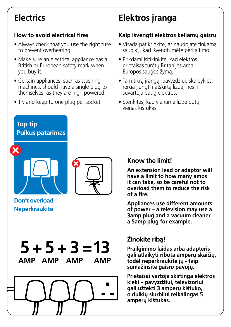## **Electrics**

#### **How to avoid electrical fires**

- Always check that you use the right fuse to prevent overheating.
- Make sure an electrical appliance has a British or European safety mark when you buy it.
- Certain appliances, such as washing machines, should have a single plug to themselves, as they are high powered.
- Try and keep to one plug per socket.

## **Elektros įranga**

#### **Kaip išvengti elektros keliamų gaisrų**

- Visada patikrinkite, ar naudojate tinkamą saugiklį, kad išvengtumėte perkaitimo.
- Pirkdami įsitikinkite, kad elektros prietaisas turėtų Britanijos arba Europos saugos žymą.
- Tam tikrą įrangą, pavyzdžiui, skalbyklės, reikia įjungti į atskirtą lizdą, nes ji suvartoja daug elektros.
- Stenkitės, kad viename lizde būtų vienas kištukas.

#### **Top tip Puikus patarimas Top tip**





**Don't overload Neperkraukite**

#### **Know the limit!**

**An extension lead or adaptor will have a limit to how many amps it can take, so be careful not to overload them to reduce the risk of a fire.**

**Appliances use different amounts of power – a television may use a 3amp plug and a vacuum cleaner a 5amp plug for example.**

### **Žinokite ribą!**

**Prailginimo laidas arba adapteris gali atlaikyti ribotą amperų skaičių, todėl neperkraukite jų - taip sumažinsite gaisro pavojų.**

**Prietaisai vartoja skirtingą elektros kiekį – pavyzdžiui, televizoriui gali užtekti 3 amperų kištuko, o dulkių siurbliui reikalingas 5 amperų kištukas.**



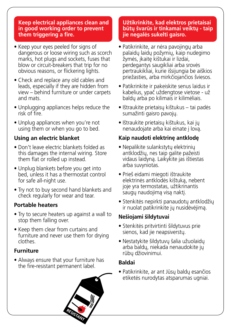#### **Keep electrical appliances clean and in good working order to prevent them triggering a fire.**

- Keep your eyes peeled for signs of dangerous or loose wiring such as scorch marks, hot plugs and sockets, fuses that blow or circuit-breakers that trip for no obvious reasons, or flickering lights.
- Check and replace any old cables and leads, especially if they are hidden from view – behind furniture or under carpets and mats.
- Unplugging appliances helps reduce the risk of fire.
- Unplug appliances when you're not using them or when you go to bed.

#### **Using an electric blanket**

- Don't leave electric blankets folded as this damages the internal wiring. Store them flat or rolled up instead.
- Unplug blankets before you get into bed, unless it has a thermostat control for safe all-night use.
- Try not to buy second hand blankets and check regularly for wear and tear.

#### **Portable heaters**

- Try to secure heaters up against a wall to stop them falling over.
- Keep them clear from curtains and furniture and never use them for drying clothes.

#### **Furniture**

• Always ensure that your furniture has the fire-resistant permanent label.

• Ištraukite prietaisų kištukus, kai jų nenaudojate arba kai einate į lovą.

#### **Kaip naudoti elektrinę antklodę**

- Nepalikite sulankstytų elektrinių antklodžių, nes taip galite pažeisti vidaus laidyną. Laikykite jas ištiestas arba suvyniotas.
- Prieš eidami miegoti ištraukite elektrinės antklodės kištuką, nebent joje yra termostatas, užtikrinantis saugų naudojimą visą naktį.
- Stenkitės nepirkti panaudotų antklodžių ir nuolat patikrinkite jų nusidėvėjimą.

#### **Nešiojami šildytuvai**

- Stenkitės pritvirtinti šildytuvus prie sienos, kad jie neapsiverstų.
- Nestatykite šildytuvų šalia užuolaidų arba baldų, niekada nenaudokite jų rūbų džiovinimui.

#### **Baldai**

• Patikrinkite, ar ant Jūsų baldų esančios etiketės nurodytas atsparumas ugniai.



#### **Užtikrinkite, kad elektros prietaisai būtų švarūs ir tinkamai veiktų - taip jie negalės sukelti gaisro.**

- Patikrinkite, ar nėra pavojingų arba palaidų laidų požymių, kaip nudegimo žymės, įkaitę kištukai ir lizdai, perdegantys saugikliai arba srovės pertraukikliai, kurie išsijungia be aiškios priežasties, arba mirkčiojančios šviesos.
- Patikrinkite ir pakeiskite senus laidus ir kabelius, ypač uždengtose vietose - už baldų arba po kilimais ir kilimėliais.
- Ištraukite prietaisų kištukus tai padės sumažinti gaisro pavojų.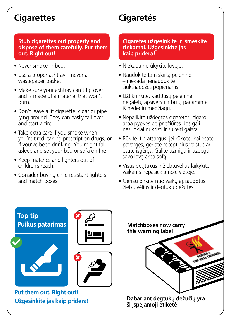## **Cigarettes**

#### **Stub cigarettes out properly and dispose of them carefully. Put them out. Right out!**

- Never smoke in bed.
- Use a proper ashtray never a wastepaper basket.
- Make sure your ashtray can't tip over and is made of a material that won't burn.
- Don't leave a lit cigarette, cigar or pipe lying around. They can easily fall over and start a fire.
- Take extra care if you smoke when you're tired, taking prescription drugs, or if you've been drinking. You might fall asleep and set your bed or sofa on fire.
- Keep matches and lighters out of children's reach.
- Consider buying child resistant lighters and match boxes.

## **Cigaretės**

#### **Cigaretes užgesinkite ir išmeskite tinkamai. Užgesinkite jas kaip pridera!**

- Niekada nerūkykite lovoje.
- Naudokite tam skirtą peleninę – niekada nenaudokite šiukšliadėžės popieriams.
- Užtikrinkite, kad Jūsų peleninė negalėtų apsiversti ir būtų pagaminta iš nedegių medžiagų.
- Nepalikite uždegtos cigaretės, cigaro arba pypkės be priežiūros. Jos gali nesunkiai nukristi ir sukelti gaisrą.
- Būkite itin atsargus, jei rūkote, kai esate pavargęs, geriate receptinius vaistus ar esate išgėręs. Galite užmigti ir uždegti savo lovą arba sofą.
- Visus degtukus ir žiebtuvėlius laikykite vaikams nepasiekiamoje vietoje.
- Geriau pirkite nuo vaikų apsaugotus žiebtuvėlius ir degtukų dėžutes.

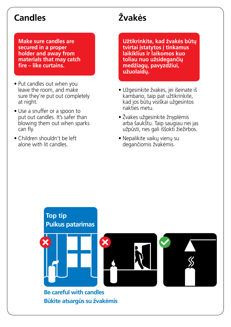## **Candles**

**Make sure candles are secured in a proper holder and away from materials that may catch fire – like curtains.** 

- Put candles out when you leave the room, and make sure they're put out completely at night.
- Use a snuffer or a spoon to put out candles. It's safer than blowing them out when sparks can fly.
- Children shouldn't be left alone with lit candles.

## **Žvakės**

**Užtikrinkite, kad žvakės būtų tvirtai įstatytos į tinkamus laikiklius ir laikomos kuo toliau nuo užsidegančių medžiagų, pavyzdžiui, užuolaidų.** 

- Užgesinkite žvakes, jei išeinate iš kambario, taip pat užtikrinkite, kad jos būtų visiškai užgesintos nakties metu.
- Žvakes užgesinkite žnyplėmis arba šaukštu. Taip saugiau nei jas užpūsti, nes gali iššokti žiežirbos.
- Nepalikite vaikų vienų su degančiomis žvakėmis.

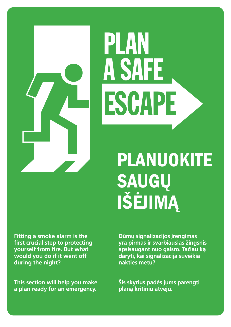

## ESCAPE PLAN A SAFE

## PLANUOKITE SAUGŲ IŠĖJIMĄ

**Fitting a smoke alarm is the first crucial step to protecting yourself from fire. But what would you do if it went off during the night?** 

**This section will help you make a plan ready for an emergency.**

**Dūmų signalizacijos įrengimas yra pirmas ir svarbiausias žingsnis apsisaugant nuo gaisro. Tačiau ką daryti, kai signalizacija suveikia nakties metu?** 

**Šis skyrius padės jums parengti planą kritiniu atveju.**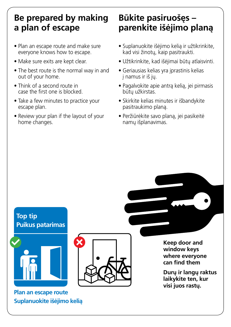## **Be prepared by making a plan of escape**

- Plan an escape route and make sure everyone knows how to escape.
- Make sure exits are kept clear.
- The best route is the normal way in and out of your home.
- Think of a second route in case the first one is blocked.
- Take a few minutes to practice your escape plan.
- Review your plan if the layout of your home changes.

## **Būkite pasiruošęs – parenkite išėjimo planą**

- Suplanuokite išėjimo kelią ir užtikrinkite, kad visi žinotų, kaip pasitraukti.
- Užtikrinkite, kad išėjimai būtų atlaisvinti.
- Geriausias kelias yra įprastinis kelias į namus ir iš jų.
- Pagalvokite apie antrą kelią, jei pirmasis būtų užkirstas.
- Skirkite kelias minutes ir išbandykite pasitraukimo planą.
- Peržiūrėkite savo planą, jei pasikeitė namų išplanavimas.

**Top tip Puikus patarimas**



**Plan an escape route Suplanuokite išėjimo kelią**



**Keep door and window keys where everyone can find them**

**Durų ir langų raktus laikykite ten, kur visi juos rastų.**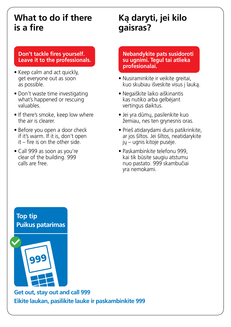## **What to do if there is a fire**

#### **Don't tackle fires yourself. Leave it to the professionals.**

- Keep calm and act quickly, get everyone out as soon as possible.
- Don't waste time investigating what's happened or rescuing valuables.
- If there's smoke, keep low where the air is clearer.
- Before you open a door check if it's warm. If it is, don't open it – fire is on the other side.
- Call 999 as soon as you're clear of the building. 999 calls are free.

## **Ką daryti, jei kilo gaisras?**

#### **Nebandykite pats susidoroti su ugnimi. Tegul tai atlieka profesionalai.**

- Nusiraminkite ir veikite greitai, kuo skubiau išveskite visus į lauką.
- Negaiškite laiko aiškinantis kas nutiko arba gelbėjant vertingus daiktus.
- Jei yra dūmų, pasilenkite kuo žemiau, nes ten grynesnis oras.
- Prieš atidarydami duris patikrinkite, ar jos šiltos. Jei šiltos, neatidarykite jų – ugnis kitoje pusėje.
- Paskambinkite telefonu 999, kai tik būsite saugiu atstumu nuo pastato. 999 skambučiai yra nemokami.

**Top tip Puikus patarimas**



**Get out, stay out and call 999 Eikite laukan, pasilikite lauke ir paskambinkite 999**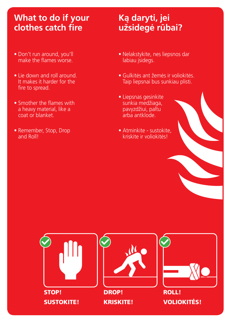### **What to do if your clothes catch fire**

- Don't run around, you'll make the flames worse.
- Lie down and roll around. It makes it harder for the fire to spread.
- Smother the flames with a heavy material, like a coat or blanket.
- Remember, Stop, Drop and Roll!

## **Ką daryti, jei užsidegė rūbai?**

- Nelakstykite, nes liepsnos dar labiau įsidegs.
- Gulkitės ant žemės ir voliokitės. Taip liepsnai bus sunkiau plisti.
- Liepsnas gesinkite sunkia medžiaga, pavyzdžiui, paltu arba antklode.
- Atminkite sustokite, kriskite ir voliokitės!

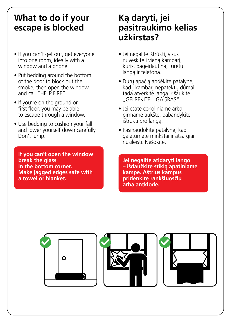## **What to do if your escape is blocked**

- If you can't get out, get everyone into one room, ideally with a window and a phone.
- Put bedding around the bottom of the door to block out the smoke, then open the window and call "HELP FIRE".
- If you're on the ground or first floor, you may be able to escape through a window.
- Use bedding to cushion your fall and lower yourself down carefully. Don't jump.

**If you can't open the window break the glass in the bottom corner. Make jagged edges safe with a towel or blanket.**

## **Ką daryti, jei pasitraukimo kelias užkirstas?**

- Jei negalite ištrūkti, visus nuveskite į vieną kambarį, kuris, pageidautina, turėtų langą ir telefoną.
- Durų apačią apdėkite patalyne, kad į kambarį nepatektų dūmai, tada atverkite langą ir šaukite "GELBĖKITE – GAISRAS".
- Jei esate cokoliniame arba pirmame aukšte, pabandykite ištrūkti pro langą.
- Pasinaudokite patalyne, kad galėtumėte minkštai ir atsargiai nusileisti. Nešokite.

**Jei negalite atidaryti lango – išdaužkite stiklą apatiniame kampe. Aštrius kampus pridenkite rankšluosčiu arba antklode.**

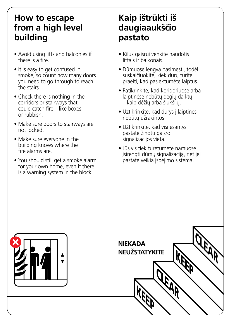## **How to escape from a high level building**

- Avoid using lifts and balconies if there is a fire.
- It is easy to get confused in smoke, so count how many doors you need to go through to reach the stairs.
- Check there is nothing in the corridors or stairways that could catch fire – like boxes or rubbish.
- Make sure doors to stairways are not locked.
- Make sure everyone in the building knows where the fire alarms are.
- You should still get a smoke alarm for your own home, even if there is a warning system in the block.

## **Kaip ištrūkti iš daugiaaukščio pastato**

- Kilus gaisrui venkite naudotis liftais ir balkonais.
- Dūmuose lengva pasimesti, todėl suskaičiuokite, kiek durų turite praeiti, kad pasiektumėte laiptus.
- Patikrinkite, kad koridoriuose arba laiptinėse nebūtų degių daiktų – kaip dėžių arba šiukšlių.
- Užtikrinkite, kad durys į laiptines nebūtų užrakintos.
- Užtikrinkite, kad visi esantys pastate žinotų gaisro signalizacijos vietą.
- Jūs vis tiek turėtumėte namuose įsirengti dūmų signalizaciją, net jei pastate veikia įspėjimo sistema.

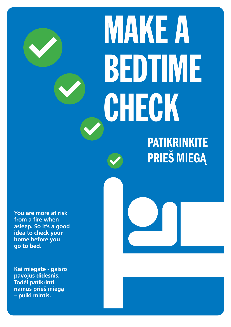## MAKE A BEDTIME **CHECK**

## **PATIKRINKITE** PRIEŠ MIEGĄ

**You are more at risk from a fire when asleep. So it's a good idea to check your home before you go to bed.**

**Kai miegate - gaisro pavojus didesnis. Todėl patikrinti namus prieš miegą – puiki mintis.**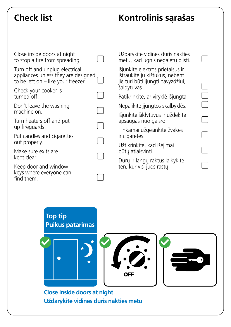## **Check list**

## **Kontrolinis sąrašas**

| Close inside doors at night<br>to stop a fire from spreading.                                               | Uždarykite vidines duris nakties<br>metu, kad ugnis negalėtų plisti.                                                   |  |
|-------------------------------------------------------------------------------------------------------------|------------------------------------------------------------------------------------------------------------------------|--|
| Turn off and unplug electrical<br>appliances unless they are designed<br>to be left on - like your freezer. | Išjunkite elektros prietaisus ir<br>ištraukite jų kištukus, nebent<br>jie turi būti jjungti pavyzdžiui,<br>šaldytuvas. |  |
| Check your cooker is<br>turned off.                                                                         | Patikrinkite, ar viryklė išjungta.                                                                                     |  |
| Don't leave the washing<br>machine on.                                                                      | Nepalikite jjungtos skalbyklės.                                                                                        |  |
| Turn heaters off and put<br>up fireguards.                                                                  | Išjunkite šildytuvus ir uždėkite<br>apsaugas nuo gaisro.                                                               |  |
| Put candles and cigarettes                                                                                  | Tinkamai užgesinkite žvakes<br>ir cigaretes.                                                                           |  |
| out properly.<br>Make sure exits are                                                                        | Užtikrinkite, kad išėjimai<br>būtų atlaisvinti.                                                                        |  |
| kept clear.                                                                                                 | Dury ir langų raktus laikykite                                                                                         |  |
| Keep door and window<br>keys where everyone can<br>find them.                                               | ten, kur visi juos rastų.                                                                                              |  |
|                                                                                                             |                                                                                                                        |  |
|                                                                                                             |                                                                                                                        |  |
| <b>Top tip</b><br><b>Puikus patarimas</b>                                                                   |                                                                                                                        |  |
|                                                                                                             |                                                                                                                        |  |